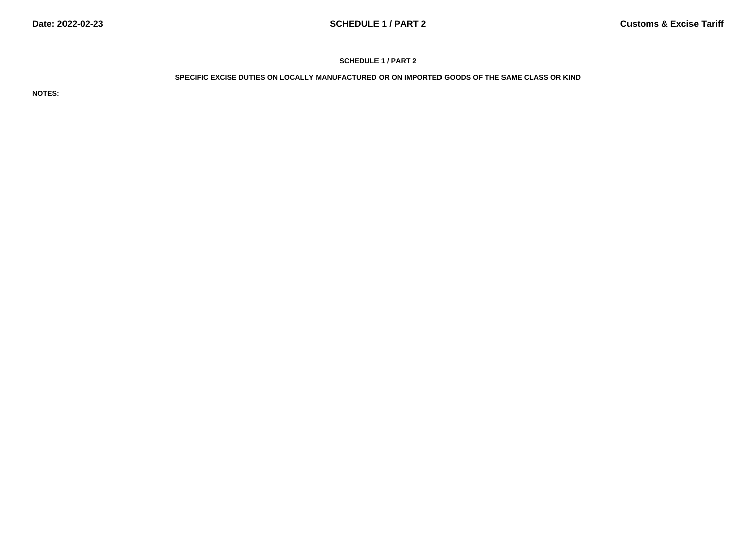# **SCHEDULE 1 / PART 2**

## **SPECIFIC EXCISE DUTIES ON LOCALLY MANUFACTURED OR ON IMPORTED GOODS OF THE SAME CLASS OR KIND**

**NOTES:**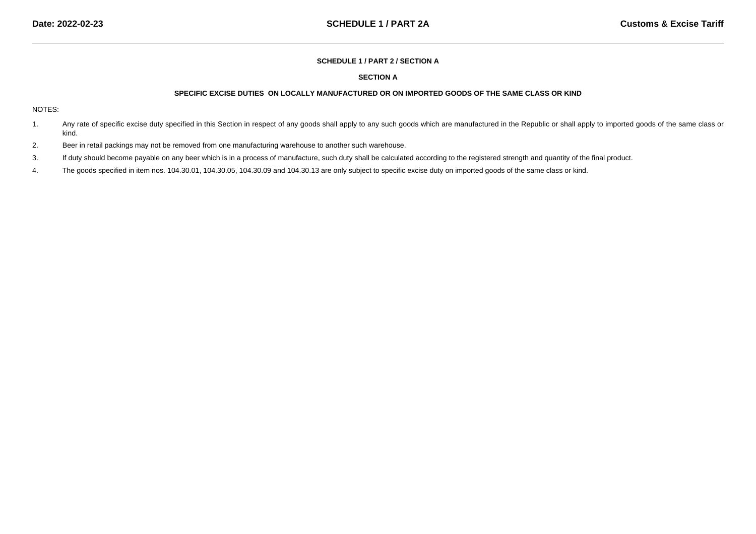#### **SCHEDULE 1 / PART 2 / SECTION A**

# **SECTION A**

### **SPECIFIC EXCISE DUTIES ON LOCALLY MANUFACTURED OR ON IMPORTED GOODS OF THE SAME CLASS OR KIND**

#### NOTES:

- 1.Any rate of specific excise duty specified in this Section in respect of any goods shall apply to any such goods which are manufactured in the Republic or shall apply to imported goods of the same class or kind.
- 2.Beer in retail packings may not be removed from one manufacturing warehouse to another such warehouse.
- 3.If duty should become payable on any beer which is in a process of manufacture, such duty shall be calculated according to the registered strength and quantity of the final product.
- 4.The goods specified in item nos. 104.30.01, 104.30.05, 104.30.09 and 104.30.13 are only subject to specific excise duty on imported goods of the same class or kind.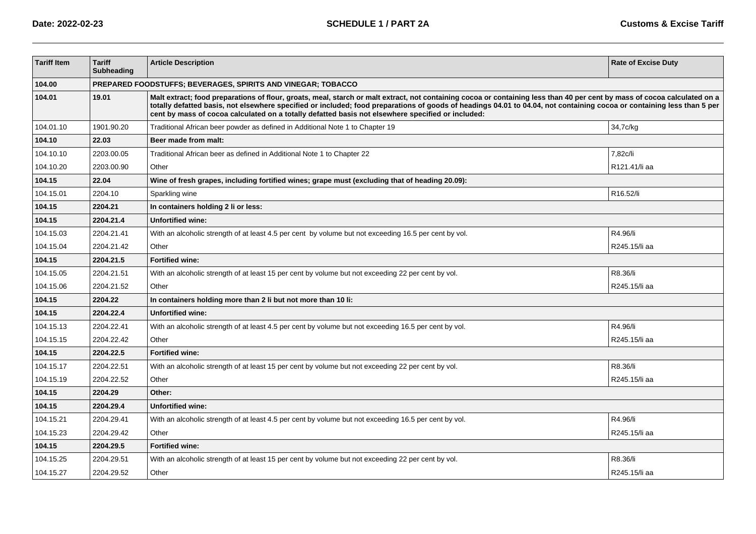| <b>Tariff Item</b> | <b>Tariff</b><br><b>Subheading</b> | <b>Article Description</b>                                                                                                                                                                                                                                                                                                                                                                                                                               | <b>Rate of Excise Duty</b> |  |
|--------------------|------------------------------------|----------------------------------------------------------------------------------------------------------------------------------------------------------------------------------------------------------------------------------------------------------------------------------------------------------------------------------------------------------------------------------------------------------------------------------------------------------|----------------------------|--|
| 104.00             |                                    | PREPARED FOODSTUFFS; BEVERAGES, SPIRITS AND VINEGAR; TOBACCO                                                                                                                                                                                                                                                                                                                                                                                             |                            |  |
| 104.01             | 19.01                              | Malt extract; food preparations of flour, groats, meal, starch or malt extract, not containing cocoa or containing less than 40 per cent by mass of cocoa calculated on a<br>totally defatted basis, not elsewhere specified or included; food preparations of goods of headings 04.01 to 04.04, not containing cocoa or containing less than 5 per<br>cent by mass of cocoa calculated on a totally defatted basis not elsewhere specified or included: |                            |  |
| 104.01.10          | 1901.90.20                         | Traditional African beer powder as defined in Additional Note 1 to Chapter 19                                                                                                                                                                                                                                                                                                                                                                            | 34,7c/kg                   |  |
| 104.10             | 22.03                              | Beer made from malt:                                                                                                                                                                                                                                                                                                                                                                                                                                     |                            |  |
| 104.10.10          | 2203.00.05                         | Traditional African beer as defined in Additional Note 1 to Chapter 22                                                                                                                                                                                                                                                                                                                                                                                   | 7.82c/li                   |  |
| 104.10.20          | 2203.00.90                         | Other                                                                                                                                                                                                                                                                                                                                                                                                                                                    | R121.41/li aa              |  |
| 104.15             | 22.04                              | Wine of fresh grapes, including fortified wines; grape must (excluding that of heading 20.09):                                                                                                                                                                                                                                                                                                                                                           |                            |  |
| 104.15.01          | 2204.10                            | Sparkling wine                                                                                                                                                                                                                                                                                                                                                                                                                                           | R16.52/li                  |  |
| 104.15             | 2204.21                            | In containers holding 2 li or less:                                                                                                                                                                                                                                                                                                                                                                                                                      |                            |  |
| 104.15             | 2204.21.4                          | <b>Unfortified wine:</b>                                                                                                                                                                                                                                                                                                                                                                                                                                 |                            |  |
| 104.15.03          | 2204.21.41                         | With an alcoholic strength of at least 4.5 per cent by volume but not exceeding 16.5 per cent by vol.                                                                                                                                                                                                                                                                                                                                                    | R4.96/li                   |  |
| 104.15.04          | 2204.21.42                         | Other                                                                                                                                                                                                                                                                                                                                                                                                                                                    | R245.15/li aa              |  |
| 104.15             | 2204.21.5                          | <b>Fortified wine:</b>                                                                                                                                                                                                                                                                                                                                                                                                                                   |                            |  |
| 104.15.05          | 2204.21.51                         | With an alcoholic strength of at least 15 per cent by volume but not exceeding 22 per cent by vol.                                                                                                                                                                                                                                                                                                                                                       | R8.36/li                   |  |
| 104.15.06          | 2204.21.52                         | Other                                                                                                                                                                                                                                                                                                                                                                                                                                                    | R245.15/li aa              |  |
| 104.15             | 2204.22                            | In containers holding more than 2 li but not more than 10 li:                                                                                                                                                                                                                                                                                                                                                                                            |                            |  |
| 104.15             | 2204.22.4                          | <b>Unfortified wine:</b>                                                                                                                                                                                                                                                                                                                                                                                                                                 |                            |  |
| 104.15.13          | 2204.22.41                         | With an alcoholic strength of at least 4.5 per cent by volume but not exceeding 16.5 per cent by vol.                                                                                                                                                                                                                                                                                                                                                    | R4.96/li                   |  |
| 104.15.15          | 2204.22.42                         | Other                                                                                                                                                                                                                                                                                                                                                                                                                                                    | R245.15/li aa              |  |
| 104.15             | 2204.22.5                          | <b>Fortified wine:</b>                                                                                                                                                                                                                                                                                                                                                                                                                                   |                            |  |
| 104.15.17          | 2204.22.51                         | With an alcoholic strength of at least 15 per cent by volume but not exceeding 22 per cent by vol.                                                                                                                                                                                                                                                                                                                                                       | R8.36/li                   |  |
| 104.15.19          | 2204.22.52                         | Other                                                                                                                                                                                                                                                                                                                                                                                                                                                    | R245.15/li aa              |  |
| 104.15             | 2204.29                            | Other:                                                                                                                                                                                                                                                                                                                                                                                                                                                   |                            |  |
| 104.15             | 2204.29.4                          | <b>Unfortified wine:</b>                                                                                                                                                                                                                                                                                                                                                                                                                                 |                            |  |
| 104.15.21          | 2204.29.41                         | With an alcoholic strength of at least 4.5 per cent by volume but not exceeding 16.5 per cent by vol.                                                                                                                                                                                                                                                                                                                                                    | R4.96/li                   |  |
| 104.15.23          | 2204.29.42                         | Other                                                                                                                                                                                                                                                                                                                                                                                                                                                    | R245.15/li aa              |  |
| 104.15             | 2204.29.5                          | <b>Fortified wine:</b>                                                                                                                                                                                                                                                                                                                                                                                                                                   |                            |  |
| 104.15.25          | 2204.29.51                         | With an alcoholic strength of at least 15 per cent by volume but not exceeding 22 per cent by vol.                                                                                                                                                                                                                                                                                                                                                       | R8.36/li                   |  |
| 104.15.27          | 2204.29.52                         | Other                                                                                                                                                                                                                                                                                                                                                                                                                                                    | R245.15/li aa              |  |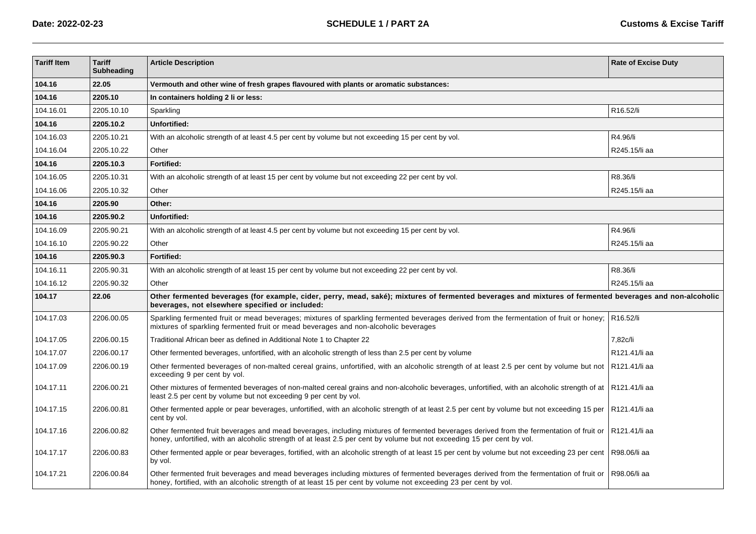| <b>Tariff Item</b> | <b>Tariff</b><br><b>Subheading</b> | <b>Article Description</b>                                                                                                                                                                                                                                         | <b>Rate of Excise Duty</b> |  |
|--------------------|------------------------------------|--------------------------------------------------------------------------------------------------------------------------------------------------------------------------------------------------------------------------------------------------------------------|----------------------------|--|
| 104.16             | 22.05                              | Vermouth and other wine of fresh grapes flavoured with plants or aromatic substances:                                                                                                                                                                              |                            |  |
| 104.16             | 2205.10                            | In containers holding 2 li or less:                                                                                                                                                                                                                                |                            |  |
| 104.16.01          | 2205.10.10                         | Sparkling                                                                                                                                                                                                                                                          | R16.52/li                  |  |
| 104.16             | 2205.10.2                          | Unfortified:                                                                                                                                                                                                                                                       |                            |  |
| 104.16.03          | 2205.10.21                         | With an alcoholic strength of at least 4.5 per cent by volume but not exceeding 15 per cent by vol.                                                                                                                                                                | R4.96/li                   |  |
| 104.16.04          | 2205.10.22                         | Other                                                                                                                                                                                                                                                              | R245.15/li aa              |  |
| 104.16             | 2205.10.3                          | Fortified:                                                                                                                                                                                                                                                         |                            |  |
| 104.16.05          | 2205.10.31                         | With an alcoholic strength of at least 15 per cent by volume but not exceeding 22 per cent by vol.                                                                                                                                                                 | R8.36/li                   |  |
| 104.16.06          | 2205.10.32                         | Other                                                                                                                                                                                                                                                              | R245.15/li aa              |  |
| 104.16             | 2205.90                            | Other:                                                                                                                                                                                                                                                             |                            |  |
| 104.16             | 2205.90.2                          | Unfortified:                                                                                                                                                                                                                                                       |                            |  |
| 104.16.09          | 2205.90.21                         | With an alcoholic strength of at least 4.5 per cent by volume but not exceeding 15 per cent by vol.                                                                                                                                                                | R4.96/li                   |  |
| 104.16.10          | 2205.90.22                         | Other                                                                                                                                                                                                                                                              | R245.15/li aa              |  |
| 104.16             | 2205.90.3                          | Fortified:                                                                                                                                                                                                                                                         |                            |  |
| 104.16.11          | 2205.90.31                         | With an alcoholic strength of at least 15 per cent by volume but not exceeding 22 per cent by vol.                                                                                                                                                                 | R8.36/li                   |  |
| 104.16.12          | 2205.90.32                         | Other                                                                                                                                                                                                                                                              | R245.15/li aa              |  |
| 104.17             | 22.06                              | Other fermented beverages (for example, cider, perry, mead, saké); mixtures of fermented beverages and mixtures of fermented beverages and non-alcoholic<br>beverages, not elsewhere specified or included:                                                        |                            |  |
| 104.17.03          | 2206.00.05                         | Sparkling fermented fruit or mead beverages; mixtures of sparkling fermented beverages derived from the fermentation of fruit or honey;<br>mixtures of sparkling fermented fruit or mead beverages and non-alcoholic beverages                                     | R16.52/li                  |  |
| 104.17.05          | 2206.00.15                         | Traditional African beer as defined in Additional Note 1 to Chapter 22                                                                                                                                                                                             | 7,82c/li                   |  |
| 104.17.07          | 2206.00.17                         | Other fermented beverages, unfortified, with an alcoholic strength of less than 2.5 per cent by volume                                                                                                                                                             | R121.41/li aa              |  |
| 104.17.09          | 2206.00.19                         | Other fermented beverages of non-malted cereal grains, unfortified, with an alcoholic strength of at least 2.5 per cent by volume but not<br>exceeding 9 per cent by vol.                                                                                          | R121.41/li aa              |  |
| 104.17.11          | 2206.00.21                         | Other mixtures of fermented beverages of non-malted cereal grains and non-alcoholic beverages, unfortified, with an alcoholic strength of at   R121.41/li aa<br>least 2.5 per cent by volume but not exceeding 9 per cent by vol.                                  |                            |  |
| 104.17.15          | 2206.00.81                         | Other fermented apple or pear beverages, unfortified, with an alcoholic strength of at least 2.5 per cent by volume but not exceeding 15 per<br>cent by vol.                                                                                                       | R121.41/li aa              |  |
| 104.17.16          | 2206.00.82                         | Other fermented fruit beverages and mead beverages, including mixtures of fermented beverages derived from the fermentation of fruit or<br>honey, unfortified, with an alcoholic strength of at least 2.5 per cent by volume but not exceeding 15 per cent by vol. | R121.41/li aa              |  |
| 104.17.17          | 2206.00.83                         | Other fermented apple or pear beverages, fortified, with an alcoholic strength of at least 15 per cent by volume but not exceeding 23 per cent<br>by vol.                                                                                                          | R98.06/li aa               |  |
| 104.17.21          | 2206.00.84                         | Other fermented fruit beverages and mead beverages including mixtures of fermented beverages derived from the fermentation of fruit or<br>honey, fortified, with an alcoholic strength of at least 15 per cent by volume not exceeding 23 per cent by vol.         | R98.06/li aa               |  |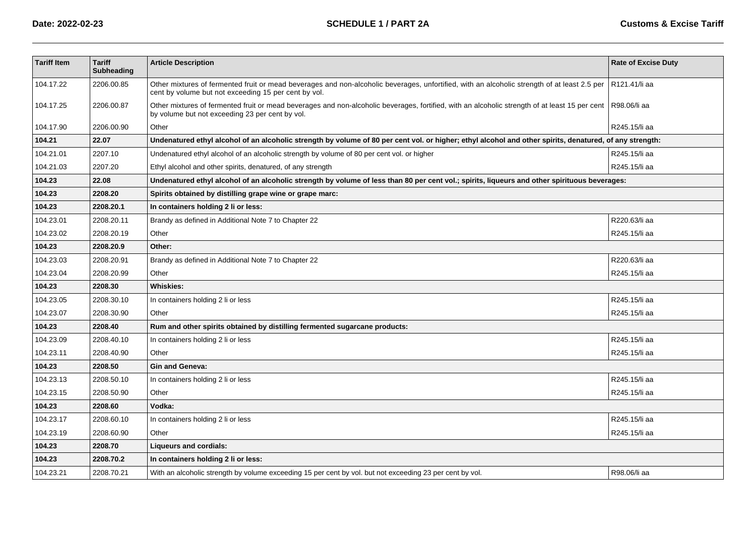| <b>Tariff Item</b> | <b>Tariff</b><br>Subheading | <b>Article Description</b>                                                                                                                                                                           | <b>Rate of Excise Duty</b> |  |
|--------------------|-----------------------------|------------------------------------------------------------------------------------------------------------------------------------------------------------------------------------------------------|----------------------------|--|
| 104.17.22          | 2206.00.85                  | Other mixtures of fermented fruit or mead beverages and non-alcoholic beverages, unfortified, with an alcoholic strength of at least 2.5 per<br>cent by volume but not exceeding 15 per cent by vol. | R121.41/li aa              |  |
| 104.17.25          | 2206.00.87                  | Other mixtures of fermented fruit or mead beverages and non-alcoholic beverages, fortified, with an alcoholic strength of at least 15 per cent<br>by volume but not exceeding 23 per cent by vol.    | R98.06/li aa               |  |
| 104.17.90          | 2206.00.90                  | Other                                                                                                                                                                                                | R245.15/li aa              |  |
| 104.21             | 22.07                       | Undenatured ethyl alcohol of an alcoholic strength by volume of 80 per cent vol. or higher; ethyl alcohol and other spirits, denatured, of any strength:                                             |                            |  |
| 104.21.01          | 2207.10                     | Undenatured ethyl alcohol of an alcoholic strength by volume of 80 per cent vol. or higher                                                                                                           | R245.15/li aa              |  |
| 104.21.03          | 2207.20                     | Ethyl alcohol and other spirits, denatured, of any strength                                                                                                                                          | R245.15/li aa              |  |
| 104.23             | 22.08                       | Undenatured ethyl alcohol of an alcoholic strength by volume of less than 80 per cent vol.; spirits, ligueurs and other spirituous beverages:                                                        |                            |  |
| 104.23             | 2208.20                     | Spirits obtained by distilling grape wine or grape marc:                                                                                                                                             |                            |  |
| 104.23             | 2208.20.1                   | In containers holding 2 li or less:                                                                                                                                                                  |                            |  |
| 104.23.01          | 2208.20.11                  | Brandy as defined in Additional Note 7 to Chapter 22                                                                                                                                                 | R220.63/li aa              |  |
| 104.23.02          | 2208.20.19                  | Other                                                                                                                                                                                                | R245.15/li aa              |  |
| 104.23             | 2208.20.9                   | Other:                                                                                                                                                                                               |                            |  |
| 104.23.03          | 2208.20.91                  | Brandy as defined in Additional Note 7 to Chapter 22                                                                                                                                                 | R220.63/li aa              |  |
| 104.23.04          | 2208.20.99                  | Other                                                                                                                                                                                                | R245.15/li aa              |  |
| 104.23             | 2208.30                     | <b>Whiskies:</b>                                                                                                                                                                                     |                            |  |
| 104.23.05          | 2208.30.10                  | In containers holding 2 li or less                                                                                                                                                                   | R245.15/li aa              |  |
| 104.23.07          | 2208.30.90                  | Other                                                                                                                                                                                                | R245.15/li aa              |  |
| 104.23             | 2208.40                     | Rum and other spirits obtained by distilling fermented sugarcane products:                                                                                                                           |                            |  |
| 104.23.09          | 2208.40.10                  | In containers holding 2 li or less                                                                                                                                                                   | R245.15/li aa              |  |
| 104.23.11          | 2208.40.90                  | Other                                                                                                                                                                                                | R245.15/li aa              |  |
| 104.23             | 2208.50                     | <b>Gin and Geneva:</b>                                                                                                                                                                               |                            |  |
| 104.23.13          | 2208.50.10                  | In containers holding 2 li or less                                                                                                                                                                   | R245.15/li aa              |  |
| 104.23.15          | 2208.50.90                  | Other                                                                                                                                                                                                | R245.15/li aa              |  |
| 104.23             | 2208.60                     | Vodka:                                                                                                                                                                                               |                            |  |
| 104.23.17          | 2208.60.10                  | In containers holding 2 li or less                                                                                                                                                                   | R245.15/li aa              |  |
| 104.23.19          | 2208.60.90                  | Other                                                                                                                                                                                                | R245.15/li aa              |  |
| 104.23             | 2208.70                     | Liqueurs and cordials:                                                                                                                                                                               |                            |  |
| 104.23             | 2208.70.2                   | In containers holding 2 li or less:                                                                                                                                                                  |                            |  |
| 104.23.21          | 2208.70.21                  | With an alcoholic strength by volume exceeding 15 per cent by vol. but not exceeding 23 per cent by vol.                                                                                             | R98.06/li aa               |  |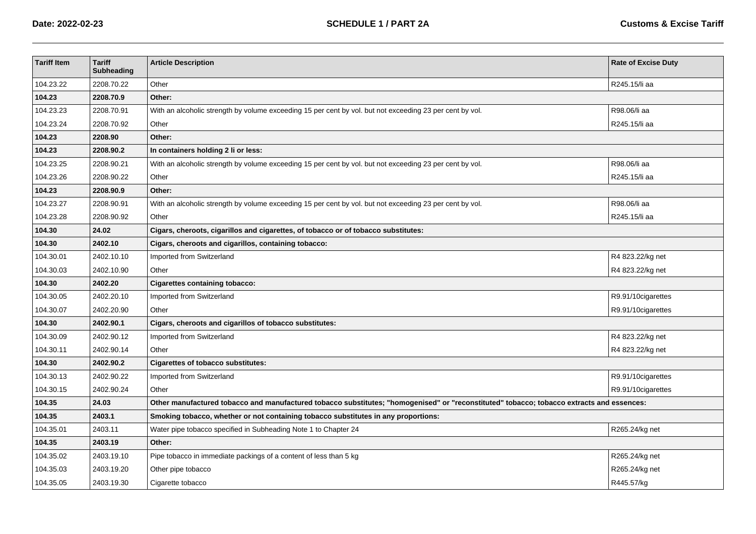| <b>Tariff Item</b> | <b>Tariff</b><br>Subheading | <b>Article Description</b>                                                                                                                | <b>Rate of Excise Duty</b> |  |
|--------------------|-----------------------------|-------------------------------------------------------------------------------------------------------------------------------------------|----------------------------|--|
| 104.23.22          | 2208.70.22                  | Other                                                                                                                                     | R245.15/li aa              |  |
| 104.23             | 2208.70.9                   | Other:                                                                                                                                    |                            |  |
| 104.23.23          | 2208.70.91                  | With an alcoholic strength by volume exceeding 15 per cent by vol. but not exceeding 23 per cent by vol.                                  | R98.06/li aa               |  |
| 104.23.24          | 2208.70.92                  | Other                                                                                                                                     | R245.15/li aa              |  |
| 104.23             | 2208.90                     | Other:                                                                                                                                    |                            |  |
| 104.23             | 2208.90.2                   | In containers holding 2 li or less:                                                                                                       |                            |  |
| 104.23.25          | 2208.90.21                  | With an alcoholic strength by volume exceeding 15 per cent by vol. but not exceeding 23 per cent by vol.                                  | R98.06/li aa               |  |
| 104.23.26          | 2208.90.22                  | Other                                                                                                                                     | R245.15/li aa              |  |
| 104.23             | 2208.90.9                   | Other:                                                                                                                                    |                            |  |
| 104.23.27          | 2208.90.91                  | With an alcoholic strength by volume exceeding 15 per cent by vol. but not exceeding 23 per cent by vol.                                  | R98.06/li aa               |  |
| 104.23.28          | 2208.90.92                  | Other                                                                                                                                     | R245.15/li aa              |  |
| 104.30             | 24.02                       | Cigars, cheroots, cigarillos and cigarettes, of tobacco or of tobacco substitutes:                                                        |                            |  |
| 104.30             | 2402.10                     | Cigars, cheroots and cigarillos, containing tobacco:                                                                                      |                            |  |
| 104.30.01          | 2402.10.10                  | Imported from Switzerland                                                                                                                 | R4 823.22/kg net           |  |
| 104.30.03          | 2402.10.90                  | Other                                                                                                                                     | R4 823.22/kg net           |  |
| 104.30             | 2402.20                     | <b>Cigarettes containing tobacco:</b>                                                                                                     |                            |  |
| 104.30.05          | 2402.20.10                  | Imported from Switzerland                                                                                                                 | R9.91/10cigarettes         |  |
| 104.30.07          | 2402.20.90                  | Other                                                                                                                                     | R9.91/10cigarettes         |  |
| 104.30             | 2402.90.1                   | Cigars, cheroots and cigarillos of tobacco substitutes:                                                                                   |                            |  |
| 104.30.09          | 2402.90.12                  | Imported from Switzerland                                                                                                                 | R4 823.22/kg net           |  |
| 104.30.11          | 2402.90.14                  | Other                                                                                                                                     | R4 823.22/kg net           |  |
| 104.30             | 2402.90.2                   | <b>Cigarettes of tobacco substitutes:</b>                                                                                                 |                            |  |
| 104.30.13          | 2402.90.22                  | Imported from Switzerland                                                                                                                 | R9.91/10cigarettes         |  |
| 104.30.15          | 2402.90.24                  | Other                                                                                                                                     | R9.91/10cigarettes         |  |
| 104.35             | 24.03                       | Other manufactured tobacco and manufactured tobacco substitutes; "homogenised" or "reconstituted" tobacco; tobacco extracts and essences: |                            |  |
| 104.35             | 2403.1                      | Smoking tobacco, whether or not containing tobacco substitutes in any proportions:                                                        |                            |  |
| 104.35.01          | 2403.11                     | Water pipe tobacco specified in Subheading Note 1 to Chapter 24                                                                           | R265.24/kg net             |  |
| 104.35             | 2403.19                     | Other:                                                                                                                                    |                            |  |
| 104.35.02          | 2403.19.10                  | Pipe tobacco in immediate packings of a content of less than 5 kg                                                                         | R265.24/kg net             |  |
| 104.35.03          | 2403.19.20                  | Other pipe tobacco                                                                                                                        | R265.24/kg net             |  |
| 104.35.05          | 2403.19.30                  | Cigarette tobacco                                                                                                                         | R445.57/kg                 |  |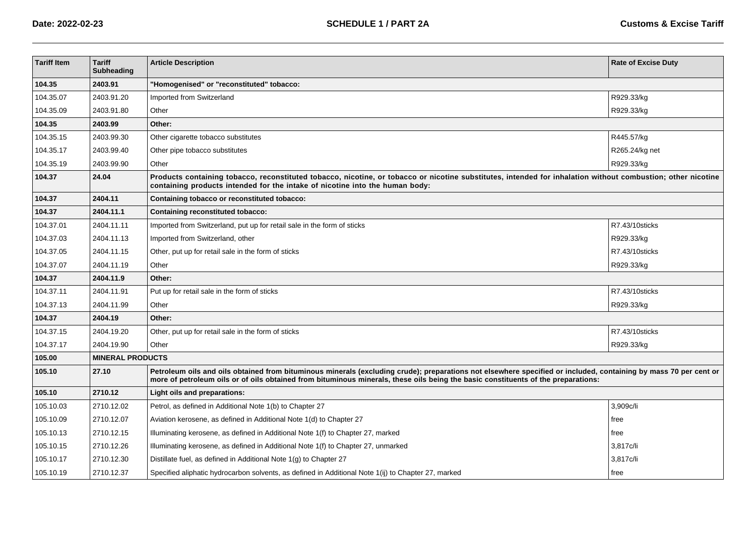| <b>Tariff Item</b> | <b>Tariff</b><br>Subheading | <b>Article Description</b>                                                                                                                                                                                                                                                                            | <b>Rate of Excise Duty</b> |  |
|--------------------|-----------------------------|-------------------------------------------------------------------------------------------------------------------------------------------------------------------------------------------------------------------------------------------------------------------------------------------------------|----------------------------|--|
| 104.35             | 2403.91                     | 'Homogenised" or "reconstituted" tobacco:                                                                                                                                                                                                                                                             |                            |  |
| 104.35.07          | 2403.91.20                  | Imported from Switzerland                                                                                                                                                                                                                                                                             | R929.33/kg                 |  |
| 104.35.09          | 2403.91.80                  | Other                                                                                                                                                                                                                                                                                                 | R929.33/kg                 |  |
| 104.35             | 2403.99                     | Other:                                                                                                                                                                                                                                                                                                |                            |  |
| 104.35.15          | 2403.99.30                  | Other cigarette tobacco substitutes                                                                                                                                                                                                                                                                   | R445.57/kg                 |  |
| 104.35.17          | 2403.99.40                  | Other pipe tobacco substitutes                                                                                                                                                                                                                                                                        | R265.24/kg net             |  |
| 104.35.19          | 2403.99.90                  | Other                                                                                                                                                                                                                                                                                                 | R929.33/kg                 |  |
| 104.37             | 24.04                       | Products containing tobacco, reconstituted tobacco, nicotine, or tobacco or nicotine substitutes, intended for inhalation without combustion; other nicotine<br>containing products intended for the intake of nicotine into the human body:                                                          |                            |  |
| 104.37             | 2404.11                     | Containing tobacco or reconstituted tobacco:                                                                                                                                                                                                                                                          |                            |  |
| 104.37             | 2404.11.1                   | Containing reconstituted tobacco:                                                                                                                                                                                                                                                                     |                            |  |
| 104.37.01          | 2404.11.11                  | Imported from Switzerland, put up for retail sale in the form of sticks                                                                                                                                                                                                                               | R7.43/10sticks             |  |
| 104.37.03          | 2404.11.13                  | Imported from Switzerland, other                                                                                                                                                                                                                                                                      | R929.33/kg                 |  |
| 104.37.05          | 2404.11.15                  | Other, put up for retail sale in the form of sticks                                                                                                                                                                                                                                                   | R7.43/10sticks             |  |
| 104.37.07          | 2404.11.19                  | Other                                                                                                                                                                                                                                                                                                 | R929.33/kg                 |  |
| 104.37             | 2404.11.9                   | Other:                                                                                                                                                                                                                                                                                                |                            |  |
| 104.37.11          | 2404.11.91                  | Put up for retail sale in the form of sticks                                                                                                                                                                                                                                                          | R7.43/10sticks             |  |
| 104.37.13          | 2404.11.99                  | Other                                                                                                                                                                                                                                                                                                 | R929.33/kg                 |  |
| 104.37             | 2404.19                     | Other:                                                                                                                                                                                                                                                                                                |                            |  |
| 104.37.15          | 2404.19.20                  | Other, put up for retail sale in the form of sticks                                                                                                                                                                                                                                                   | R7.43/10sticks             |  |
| 104.37.17          | 2404.19.90                  | Other                                                                                                                                                                                                                                                                                                 | R929.33/kg                 |  |
| 105.00             | <b>MINERAL PRODUCTS</b>     |                                                                                                                                                                                                                                                                                                       |                            |  |
| 105.10             | 27.10                       | Petroleum oils and oils obtained from bituminous minerals (excluding crude); preparations not elsewhere specified or included, containing by mass 70 per cent or<br>more of petroleum oils or of oils obtained from bituminous minerals, these oils being the basic constituents of the preparations: |                            |  |
| 105.10             | 2710.12                     | Light oils and preparations:                                                                                                                                                                                                                                                                          |                            |  |
| 105.10.03          | 2710.12.02                  | Petrol, as defined in Additional Note 1(b) to Chapter 27                                                                                                                                                                                                                                              | 3,909c/li                  |  |
| 105.10.09          | 2710.12.07                  | Aviation kerosene, as defined in Additional Note 1(d) to Chapter 27                                                                                                                                                                                                                                   | free                       |  |
| 105.10.13          | 2710.12.15                  | Illuminating kerosene, as defined in Additional Note 1(f) to Chapter 27, marked                                                                                                                                                                                                                       | free                       |  |
| 105.10.15          | 2710.12.26                  | Illuminating kerosene, as defined in Additional Note 1(f) to Chapter 27, unmarked                                                                                                                                                                                                                     | 3,817c/li                  |  |
| 105.10.17          | 2710.12.30                  | Distillate fuel, as defined in Additional Note 1(g) to Chapter 27                                                                                                                                                                                                                                     | 3.817c/li                  |  |
| 105.10.19          | 2710.12.37                  | Specified aliphatic hydrocarbon solvents, as defined in Additional Note 1(ij) to Chapter 27, marked                                                                                                                                                                                                   | free                       |  |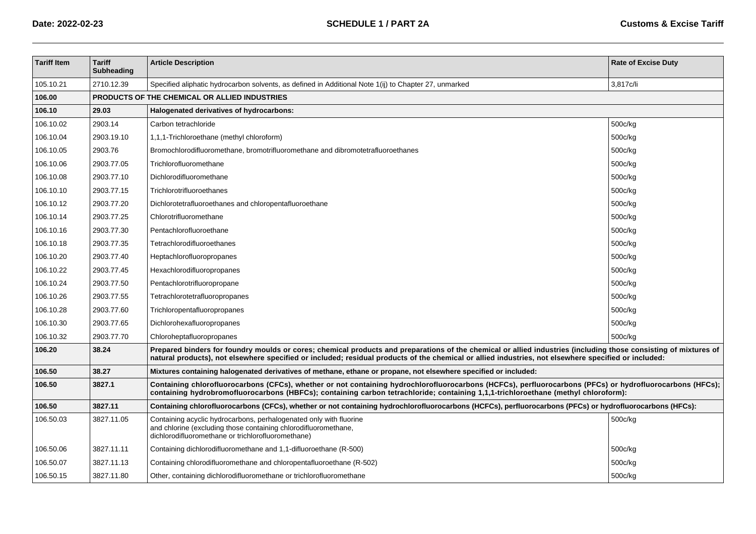| <b>Tariff Item</b> | <b>Tariff</b><br><b>Subheading</b> | <b>Article Description</b>                                                                                                                                                                                                                                                                                               | <b>Rate of Excise Duty</b> |  |
|--------------------|------------------------------------|--------------------------------------------------------------------------------------------------------------------------------------------------------------------------------------------------------------------------------------------------------------------------------------------------------------------------|----------------------------|--|
| 105.10.21          | 2710.12.39                         | Specified aliphatic hydrocarbon solvents, as defined in Additional Note 1(ij) to Chapter 27, unmarked                                                                                                                                                                                                                    | 3.817c/li                  |  |
| 106.00             |                                    | PRODUCTS OF THE CHEMICAL OR ALLIED INDUSTRIES                                                                                                                                                                                                                                                                            |                            |  |
| 106.10             | 29.03                              | Halogenated derivatives of hydrocarbons:                                                                                                                                                                                                                                                                                 |                            |  |
| 106.10.02          | 2903.14                            | Carbon tetrachloride                                                                                                                                                                                                                                                                                                     | 500c/kg                    |  |
| 106.10.04          | 2903.19.10                         | 1,1,1-Trichloroethane (methyl chloroform)                                                                                                                                                                                                                                                                                | 500c/kg                    |  |
| 106.10.05          | 2903.76                            | Bromochlorodifluoromethane, bromotrifluoromethane and dibromotetrafluoroethanes                                                                                                                                                                                                                                          | 500c/kg                    |  |
| 106.10.06          | 2903.77.05                         | Trichlorofluoromethane                                                                                                                                                                                                                                                                                                   | 500c/kg                    |  |
| 106.10.08          | 2903.77.10                         | Dichlorodifluoromethane                                                                                                                                                                                                                                                                                                  | 500c/kg                    |  |
| 106.10.10          | 2903.77.15                         | Trichlorotrifluoroethanes                                                                                                                                                                                                                                                                                                | 500c/kg                    |  |
| 106.10.12          | 2903.77.20                         | Dichlorotetrafluoroethanes and chloropentafluoroethane                                                                                                                                                                                                                                                                   | 500c/kg                    |  |
| 106.10.14          | 2903.77.25                         | Chlorotrifluoromethane                                                                                                                                                                                                                                                                                                   | 500c/kg                    |  |
| 106.10.16          | 2903.77.30                         | Pentachlorofluoroethane                                                                                                                                                                                                                                                                                                  | 500c/kg                    |  |
| 106.10.18          | 2903.77.35                         | Tetrachlorodifluoroethanes                                                                                                                                                                                                                                                                                               | 500c/kg                    |  |
| 106.10.20          | 2903.77.40                         | Heptachlorofluoropropanes                                                                                                                                                                                                                                                                                                | 500c/kg                    |  |
| 106.10.22          | 2903.77.45                         | Hexachlorodifluoropropanes                                                                                                                                                                                                                                                                                               | 500c/kg                    |  |
| 106.10.24          | 2903.77.50                         | Pentachlorotrifluoropropane                                                                                                                                                                                                                                                                                              | 500c/kg                    |  |
| 106.10.26          | 2903.77.55                         | Tetrachlorotetrafluoropropanes                                                                                                                                                                                                                                                                                           | 500c/kg                    |  |
| 106.10.28          | 2903.77.60                         | Trichloropentafluoropropanes                                                                                                                                                                                                                                                                                             | 500c/kg                    |  |
| 106.10.30          | 2903.77.65                         | Dichlorohexafluoropropanes                                                                                                                                                                                                                                                                                               | 500c/kg                    |  |
| 106.10.32          | 2903.77.70                         | Chloroheptafluoropropanes                                                                                                                                                                                                                                                                                                | 500c/kg                    |  |
| 106.20             | 38.24                              | Prepared binders for foundry moulds or cores; chemical products and preparations of the chemical or allied industries (including those consisting of mixtures of<br>natural products), not elsewhere specified or included; residual products of the chemical or allied industries, not elsewhere specified or included: |                            |  |
| 106.50             | 38.27                              | Mixtures containing halogenated derivatives of methane, ethane or propane, not elsewhere specified or included:                                                                                                                                                                                                          |                            |  |
| 106.50             | 3827.1                             | Containing chlorofluorocarbons (CFCs), whether or not containing hydrochlorofluorocarbons (HCFCs), perfluorocarbons (PFCs) or hydrofluorocarbons (HFCs);<br>containing hydrobromofluorocarbons (HBFCs); containing carbon tetrachloride; containing 1,1,1-trichloroethane (methyl chloroform):                           |                            |  |
| 106.50             | 3827.11                            | Containing chlorofluorocarbons (CFCs), whether or not containing hydrochlorofluorocarbons (HCFCs), perfluorocarbons (PFCs) or hydrofluorocarbons (HFCs):                                                                                                                                                                 |                            |  |
| 106.50.03          | 3827.11.05                         | Containing acyclic hydrocarbons, perhalogenated only with fluorine<br>and chlorine (excluding those containing chlorodifluoromethane,<br>dichlorodifluoromethane or trichlorofluoromethane)                                                                                                                              | 500c/kg                    |  |
| 106.50.06          | 3827.11.11                         | Containing dichlorodifluoromethane and 1,1-difluoroethane (R-500)                                                                                                                                                                                                                                                        | 500c/kg                    |  |
| 106.50.07          | 3827.11.13                         | Containing chlorodifluoromethane and chloropentafluoroethane (R-502)                                                                                                                                                                                                                                                     | 500c/kg                    |  |
| 106.50.15          | 3827.11.80                         | Other, containing dichlorodifluoromethane or trichlorofluoromethane                                                                                                                                                                                                                                                      | 500c/kg                    |  |